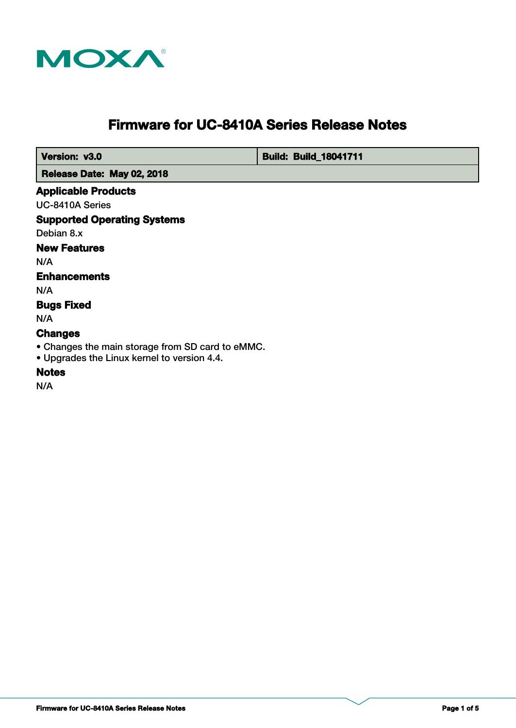

# **Firmware for UC-8410A Series Release Notes**

 **Version: v3.0 <b>Build: Build: Build: Build**: **Build: 8041711** 

 **Release Date: May 02, 2018**

#### **Applicable Products**

UC-8410A Series

# **Supported Operating Systems**

Debian 8.x

# **New Features**

N/A

# **Enhancements**

N/A

# **Bugs Fixed**

N/A

# **Changes**

• Changes the main storage from SD card to eMMC.

• Upgrades the Linux kernel to version 4.4.

# **Notes**

N/A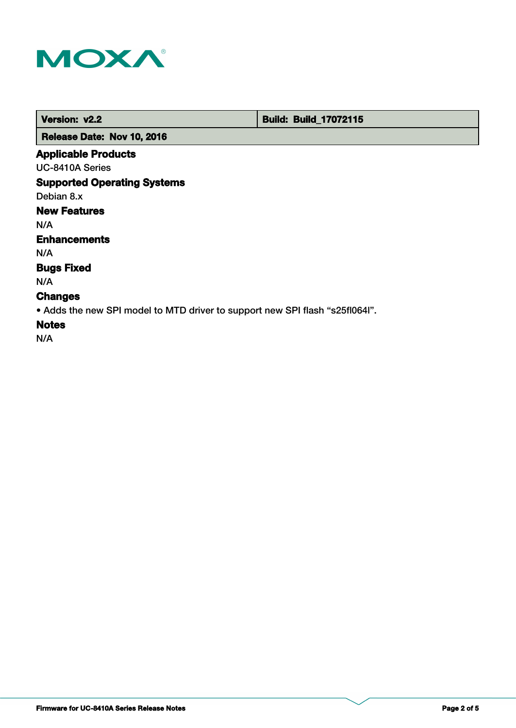

 **Version: v2.2 Build: Build: Build: 17072115** 

 **Release Date: Nov 10, 2016**

# **Applicable Products**

UC-8410A Series

# **Supported Operating Systems**

Debian 8.x

# **New Features**

N/A

#### **Enhancements**

N/A

# **Bugs Fixed**

N/A

# **Changes**

• Adds the new SPI model to MTD driver to support new SPI flash "s25fl064l".

# **Notes**

N/A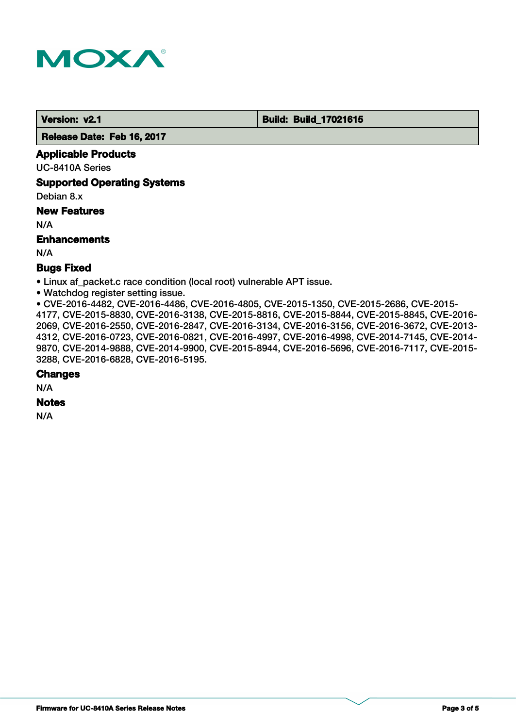

 **Version: v2.1 Build: Build: Build: 17021615** 

 **Release Date: Feb 16, 2017**

#### **Applicable Products**

UC-8410A Series

**Supported Operating Systems**

Debian 8.x

#### **New Features**

N/A

#### **Enhancements**

N/A

#### **Bugs Fixed**

• Linux af packet.c race condition (local root) vulnerable APT issue.

• Watchdog register setting issue.

• CVE-2016-4482, CVE-2016-4486, CVE-2016-4805, CVE-2015-1350, CVE-2015-2686, CVE-2015- 4177, CVE-2015-8830, CVE-2016-3138, CVE-2015-8816, CVE-2015-8844, CVE-2015-8845, CVE-2016- 2069, CVE-2016-2550, CVE-2016-2847, CVE-2016-3134, CVE-2016-3156, CVE-2016-3672, CVE-2013- 4312, CVE-2016-0723, CVE-2016-0821, CVE-2016-4997, CVE-2016-4998, CVE-2014-7145, CVE-2014- 9870, CVE-2014-9888, CVE-2014-9900, CVE-2015-8944, CVE-2016-5696, CVE-2016-7117, CVE-2015- 3288, CVE-2016-6828, CVE-2016-5195.

#### **Changes**

N/A

# **Notes**

N/A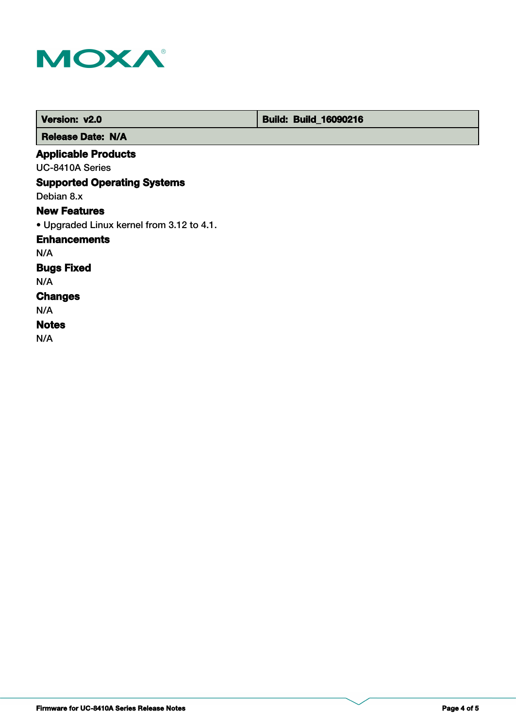

| Version: v2.0                             | <b>Build: Build_16090216</b> |
|-------------------------------------------|------------------------------|
| <b>Release Date: N/A</b>                  |                              |
| <b>Applicable Products</b>                |                              |
| UC-8410A Series                           |                              |
| <b>Supported Operating Systems</b>        |                              |
| Debian 8.x                                |                              |
| <b>New Features</b>                       |                              |
| • Upgraded Linux kernel from 3.12 to 4.1. |                              |
| <b>Enhancements</b>                       |                              |
| N/A                                       |                              |
| <b>Bugs Fixed</b>                         |                              |
| N/A                                       |                              |
| <b>Changes</b>                            |                              |
| N/A                                       |                              |
| <b>Notes</b>                              |                              |
| N/A                                       |                              |
|                                           |                              |
|                                           |                              |